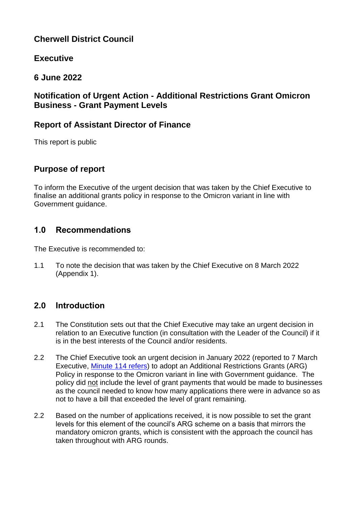# **Cherwell District Council**

## **Executive**

# **6 June 2022**

## **Notification of Urgent Action - Additional Restrictions Grant Omicron Business - Grant Payment Levels**

## **Report of Assistant Director of Finance**

This report is public

# **Purpose of report**

To inform the Executive of the urgent decision that was taken by the Chief Executive to finalise an additional grants policy in response to the Omicron variant in line with Government guidance.

# **1.0 Recommendations**

The Executive is recommended to:

1.1 To note the decision that was taken by the Chief Executive on 8 March 2022 (Appendix 1).

# **2.0 Introduction**

- 2.1 The Constitution sets out that the Chief Executive may take an urgent decision in relation to an Executive function (in consultation with the Leader of the Council) if it is in the best interests of the Council and/or residents.
- 2.2 The Chief Executive took an urgent decision in January 2022 (reported to 7 March Executive, [Minute 114 refers\)](https://modgov.cherwell.gov.uk/ieListDocuments.aspx?CId=115&MId=3536) to adopt an Additional Restrictions Grants (ARG) Policy in response to the Omicron variant in line with Government guidance. The policy did not include the level of grant payments that would be made to businesses as the council needed to know how many applications there were in advance so as not to have a bill that exceeded the level of grant remaining.
- 2.2 Based on the number of applications received, it is now possible to set the grant levels for this element of the council's ARG scheme on a basis that mirrors the mandatory omicron grants, which is consistent with the approach the council has taken throughout with ARG rounds.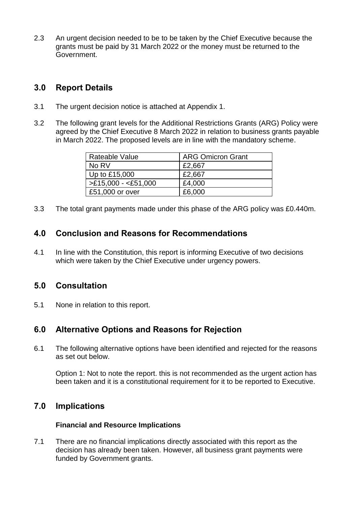2.3 An urgent decision needed to be to be taken by the Chief Executive because the grants must be paid by 31 March 2022 or the money must be returned to the Government.

## **3.0 Report Details**

- 3.1 The urgent decision notice is attached at Appendix 1.
- 3.2 The following grant levels for the Additional Restrictions Grants (ARG) Policy were agreed by the Chief Executive 8 March 2022 in relation to business grants payable in March 2022. The proposed levels are in line with the mandatory scheme.

| Rateable Value       | <b>ARG Omicron Grant</b> |
|----------------------|--------------------------|
| No RV                | £2,667                   |
| Up to £15,000        | £2,667                   |
| $>E15,000 - E51,000$ | £4,000                   |
| £51,000 or over      | £6,000                   |

3.3 The total grant payments made under this phase of the ARG policy was £0.440m.

## **4.0 Conclusion and Reasons for Recommendations**

4.1 In line with the Constitution, this report is informing Executive of two decisions which were taken by the Chief Executive under urgency powers.

### **5.0 Consultation**

5.1 None in relation to this report.

## **6.0 Alternative Options and Reasons for Rejection**

6.1 The following alternative options have been identified and rejected for the reasons as set out below.

Option 1: Not to note the report. this is not recommended as the urgent action has been taken and it is a constitutional requirement for it to be reported to Executive.

## **7.0 Implications**

#### **Financial and Resource Implications**

7.1 There are no financial implications directly associated with this report as the decision has already been taken. However, all business grant payments were funded by Government grants.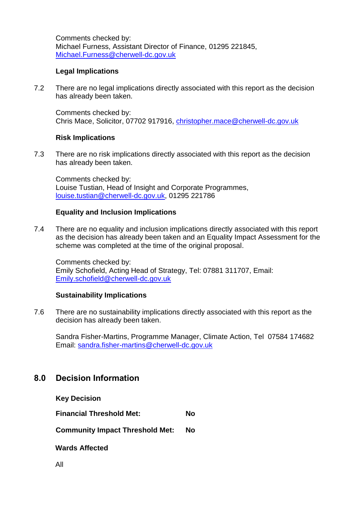Comments checked by: Michael Furness, Assistant Director of Finance, 01295 221845, [Michael.Furness@cherwell-dc.gov.uk](mailto:Michael.Furness@cherwell-dc.gov.uk)

#### **Legal Implications**

7.2 There are no legal implications directly associated with this report as the decision has already been taken.

Comments checked by: Chris Mace, Solicitor, 07702 917916, [christopher.mace@cherwell-dc.gov.uk](mailto:christopher.mace@cherwell-dc.gov.uk)

#### **Risk Implications**

7.3 There are no risk implications directly associated with this report as the decision has already been taken.

Comments checked by: Louise Tustian, Head of Insight and Corporate Programmes, [louise.tustian@cherwell-dc.gov.uk,](mailto:louise.tustian@cherwell-dc.gov.uk) 01295 221786

#### **Equality and Inclusion Implications**

7.4 There are no equality and inclusion implications directly associated with this report as the decision has already been taken and an Equality Impact Assessment for the scheme was completed at the time of the original proposal.

Comments checked by: Emily Schofield, Acting Head of Strategy, Tel: 07881 311707, Email: [Emily.schofield@cherwell-dc.gov.uk](mailto:Emily.schofield@cherwell-dc.gov.uk)

#### **Sustainability Implications**

7.6 There are no sustainability implications directly associated with this report as the decision has already been taken.

Sandra Fisher-Martins, Programme Manager, Climate Action, Tel 07584 174682 Email: [sandra.fisher-martins@cherwell-dc.gov.uk](mailto:sandra.fisher-martins@cherwell-dc.gov.uk)

### **8.0 Decision Information**

**Key Decision** 

**Financial Threshold Met: No**

**Community Impact Threshold Met: No**

**Wards Affected**

All